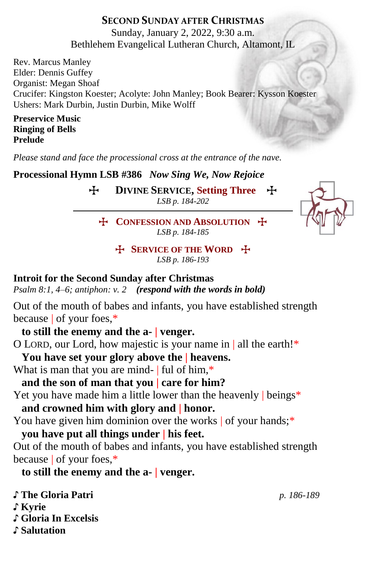## **SECOND SUNDAY AFTER CHRISTMAS**

Sunday, January 2, 2022, 9:30 a.m. Bethlehem Evangelical Lutheran Church, Altamont, IL

Rev. Marcus Manley Elder: Dennis Guffey Organist: Megan Shoaf Crucifer: Kingston Koester; Acolyte: John Manley; Book Bearer: Kysson Koester Ushers: Mark Durbin, Justin Durbin, Mike Wolff

**Preservice Music Ringing of Bells Prelude** 

*Please stand and face the processional cross at the entrance of the nave.*

**Processional Hymn LSB #386** *Now Sing We, Now Rejoice*

T **DIVINE SERVICE, Setting Three** T *LSB p. 184-202*



**T** CONFESSION AND ABSOLUTION **T** *LSB p. 184-185*

> T **SERVICE OF THE WORD** T *LSB p. 186-193*

### **Introit for the Second Sunday after Christmas**

*Psalm 8:1, 4–6; antiphon: v. 2 (respond with the words in bold)*

Out of the mouth of babes and infants, you have established strength because | of your foes,\*

**to still the enemy and the a- | venger.**

O LORD, our Lord, how majestic is your name in | all the earth!\*

**You have set your glory above the | heavens.**

What is man that you are mind- | ful of him,\*

**and the son of man that you | care for him?**

Yet you have made him a little lower than the heavenly beings\*

**and crowned him with glory and | honor.**

You have given him dominion over the works of your hands;\*

**you have put all things under | his feet.**

Out of the mouth of babes and infants, you have established strength because | of your foes,\*

**to still the enemy and the a- | venger.**

♪ **The Gloria Patri** *p. 186-189* ♪ **Kyrie** ♪ **Gloria In Excelsis**

♪ **Salutation**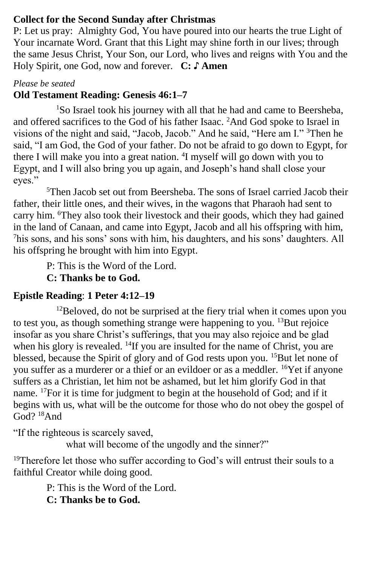### **Collect for the Second Sunday after Christmas**

P: Let us pray: Almighty God, You have poured into our hearts the true Light of Your incarnate Word. Grant that this Light may shine forth in our lives; through the same Jesus Christ, Your Son, our Lord, who lives and reigns with You and the Holy Spirit, one God, now and forever. **C: ♪ Amen**

### *Please be seated*

## **Old Testament Reading: Genesis 46:1–7**

<sup>1</sup>So Israel took his journey with all that he had and came to Beersheba, and offered sacrifices to the God of his father Isaac. <sup>2</sup>And God spoke to Israel in visions of the night and said, "Jacob, Jacob." And he said, "Here am I." <sup>3</sup>Then he said, "I am God, the God of your father. Do not be afraid to go down to Egypt, for there I will make you into a great nation. <sup>4</sup>I myself will go down with you to Egypt, and I will also bring you up again, and Joseph's hand shall close your eyes."

<sup>5</sup>Then Jacob set out from Beersheba. The sons of Israel carried Jacob their father, their little ones, and their wives, in the wagons that Pharaoh had sent to carry him. <sup>6</sup>They also took their livestock and their goods, which they had gained in the land of Canaan, and came into Egypt, Jacob and all his offspring with him, <sup>7</sup>his sons, and his sons' sons with him, his daughters, and his sons' daughters. All his offspring he brought with him into Egypt.

P: This is the Word of the Lord. **C: Thanks be to God.**

## **Epistle Reading**: **1 Peter 4:12–19**

 $12$ Beloved, do not be surprised at the fiery trial when it comes upon you to test you, as though something strange were happening to you.  $^{13}$ But rejoice insofar as you share Christ's sufferings, that you may also rejoice and be glad when his glory is revealed. <sup>14</sup>If you are insulted for the name of Christ, you are blessed, because the Spirit of glory and of God rests upon you. <sup>15</sup>But let none of you suffer as a murderer or a thief or an evildoer or as a meddler. <sup>16</sup>Yet if anyone suffers as a Christian, let him not be ashamed, but let him glorify God in that name. <sup>17</sup>For it is time for judgment to begin at the household of God; and if it begins with us, what will be the outcome for those who do not obey the gospel of God? <sup>18</sup>And

"If the righteous is scarcely saved,

what will become of the ungodly and the sinner?"

<sup>19</sup>Therefore let those who suffer according to God's will entrust their souls to a faithful Creator while doing good.

> P: This is the Word of the Lord. **C: Thanks be to God.**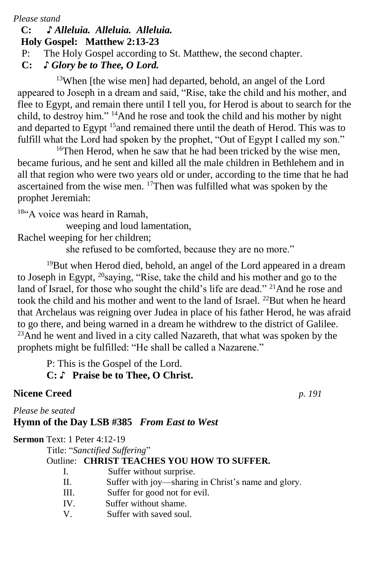*Please stand*

#### **C: ♪** *Alleluia. Alleluia. Alleluia.*  **Holy Gospel: Matthew 2:13-23**

- P: The Holy Gospel according to St. Matthew, the second chapter.
- **C:** *♪ Glory be to Thee, O Lord.*

<sup>13</sup>When [the wise men] had departed, behold, an angel of the Lord appeared to Joseph in a dream and said, "Rise, take the child and his mother, and flee to Egypt, and remain there until I tell you, for Herod is about to search for the child, to destroy him." <sup>14</sup>And he rose and took the child and his mother by night and departed to Egypt <sup>15</sup> and remained there until the death of Herod. This was to fulfill what the Lord had spoken by the prophet, "Out of Egypt I called my son."

<sup>16</sup>Then Herod, when he saw that he had been tricked by the wise men, became furious, and he sent and killed all the male children in Bethlehem and in all that region who were two years old or under, according to the time that he had ascertained from the wise men. <sup>17</sup>Then was fulfilled what was spoken by the prophet Jeremiah:

18"A voice was heard in Ramah,

weeping and loud lamentation,

Rachel weeping for her children;

she refused to be comforted, because they are no more."

<sup>19</sup>But when Herod died, behold, an angel of the Lord appeared in a dream to Joseph in Egypt, <sup>20</sup>saying, "Rise, take the child and his mother and go to the land of Israel, for those who sought the child's life are dead." <sup>21</sup>And he rose and took the child and his mother and went to the land of Israel.  $^{22}$ But when he heard that Archelaus was reigning over Judea in place of his father Herod, he was afraid to go there, and being warned in a dream he withdrew to the district of Galilee. <sup>23</sup>And he went and lived in a city called Nazareth, that what was spoken by the prophets might be fulfilled: "He shall be called a Nazarene."

P: This is the Gospel of the Lord.

# **C:** ♪ **Praise be to Thee, O Christ.**

# **Nicene Creed** *p. 191*

*Please be seated*

# **Hymn of the Day LSB #385** *From East to West*

**Sermon** Text: 1 Peter 4:12-19

Title: "*Sanctified Suffering*"

## Outline: **CHRIST TEACHES YOU HOW TO SUFFER.**

- I. Suffer without surprise.
- II. Suffer with joy—sharing in Christ's name and glory.
- III. Suffer for good not for evil.
- IV. Suffer without shame.
- V. Suffer with saved soul.